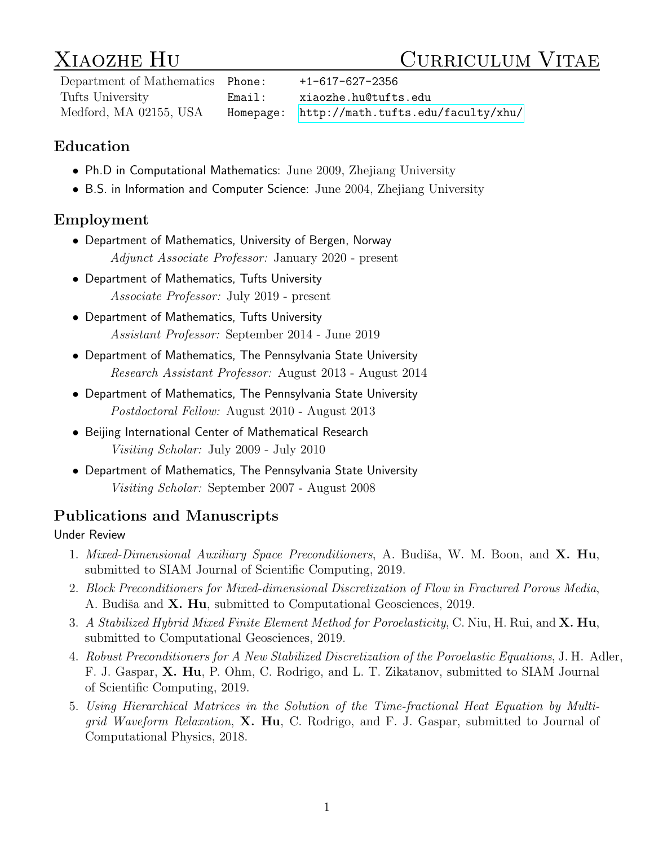# XIAOZHE HU CURRICULUM VITAE

Department of Mathematics Phone: +1-617-627-2356 Tufts University Email: xiaozhe.hu@tufts.edu Medford, MA 02155, USA Homepage:<http://math.tufts.edu/faculty/xhu/>

## Education

- Ph.D in Computational Mathematics: June 2009, Zhejiang University
- B.S. in Information and Computer Science: June 2004, Zhejiang University

## Employment

- Department of Mathematics, University of Bergen, Norway Adjunct Associate Professor: January 2020 - present
- Department of Mathematics, Tufts University Associate Professor: July 2019 - present
- Department of Mathematics, Tufts University Assistant Professor: September 2014 - June 2019
- Department of Mathematics, The Pennsylvania State University Research Assistant Professor: August 2013 - August 2014
- Department of Mathematics, The Pennsylvania State University Postdoctoral Fellow: August 2010 - August 2013
- Beijing International Center of Mathematical Research Visiting Scholar: July 2009 - July 2010
- Department of Mathematics, The Pennsylvania State University Visiting Scholar: September 2007 - August 2008

## Publications and Manuscripts

#### Under Review

- 1. Mixed-Dimensional Auxiliary Space Preconditioners, A. Budiša, W. M. Boon, and X. Hu, submitted to SIAM Journal of Scientific Computing, 2019.
- 2. Block Preconditioners for Mixed-dimensional Discretization of Flow in Fractured Porous Media, A. Budiša and **X. Hu**, submitted to Computational Geosciences, 2019.
- 3. A Stabilized Hybrid Mixed Finite Element Method for Poroelasticity, C. Niu, H. Rui, and X. Hu, submitted to Computational Geosciences, 2019.
- 4. Robust Preconditioners for A New Stabilized Discretization of the Poroelastic Equations, J. H. Adler, F. J. Gaspar, X. Hu, P. Ohm, C. Rodrigo, and L. T. Zikatanov, submitted to SIAM Journal of Scientific Computing, 2019.
- 5. Using Hierarchical Matrices in the Solution of the Time-fractional Heat Equation by Multigrid Waveform Relaxation, X. Hu, C. Rodrigo, and F. J. Gaspar, submitted to Journal of Computational Physics, 2018.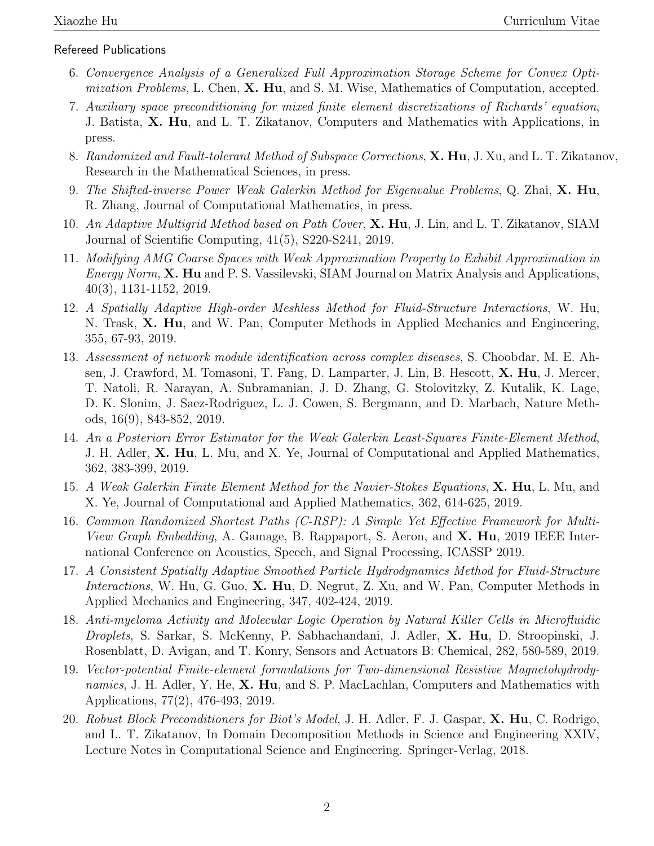#### Refereed Publications

- 6. Convergence Analysis of a Generalized Full Approximation Storage Scheme for Convex Optimization Problems, L. Chen, X. Hu, and S. M. Wise, Mathematics of Computation, accepted.
- 7. Auxiliary space preconditioning for mixed finite element discretizations of Richards' equation, J. Batista, X. Hu, and L. T. Zikatanov, Computers and Mathematics with Applications, in press.
- 8. Randomized and Fault-tolerant Method of Subspace Corrections, **X. Hu**, J. Xu, and L. T. Zikatanov, Research in the Mathematical Sciences, in press.
- 9. The Shifted-inverse Power Weak Galerkin Method for Eigenvalue Problems, Q. Zhai, X. Hu, R. Zhang, Journal of Computational Mathematics, in press.
- 10. An Adaptive Multigrid Method based on Path Cover, **X. Hu**, J. Lin, and L. T. Zikatanov, SIAM Journal of Scientific Computing, 41(5), S220-S241, 2019.
- 11. Modifying AMG Coarse Spaces with Weak Approximation Property to Exhibit Approximation in Energy Norm, **X. Hu** and P. S. Vassilevski, SIAM Journal on Matrix Analysis and Applications, 40(3), 1131-1152, 2019.
- 12. A Spatially Adaptive High-order Meshless Method for Fluid-Structure Interactions, W. Hu, N. Trask, **X. Hu**, and W. Pan, Computer Methods in Applied Mechanics and Engineering, 355, 67-93, 2019.
- 13. Assessment of network module identification across complex diseases, S. Choobdar, M. E. Ahsen, J. Crawford, M. Tomasoni, T. Fang, D. Lamparter, J. Lin, B. Hescott, X. Hu, J. Mercer, T. Natoli, R. Narayan, A. Subramanian, J. D. Zhang, G. Stolovitzky, Z. Kutalik, K. Lage, D. K. Slonim, J. Saez-Rodriguez, L. J. Cowen, S. Bergmann, and D. Marbach, Nature Methods, 16(9), 843-852, 2019.
- 14. An a Posteriori Error Estimator for the Weak Galerkin Least-Squares Finite-Element Method, J. H. Adler, X. Hu, L. Mu, and X. Ye, Journal of Computational and Applied Mathematics, 362, 383-399, 2019.
- 15. A Weak Galerkin Finite Element Method for the Navier-Stokes Equations, X. Hu, L. Mu, and X. Ye, Journal of Computational and Applied Mathematics, 362, 614-625, 2019.
- 16. Common Randomized Shortest Paths (C-RSP): A Simple Yet Effective Framework for Multi-*View Graph Embedding*, A. Gamage, B. Rappaport, S. Aeron, and  $X$ . Hu, 2019 IEEE International Conference on Acoustics, Speech, and Signal Processing, ICASSP 2019.
- 17. A Consistent Spatially Adaptive Smoothed Particle Hydrodynamics Method for Fluid-Structure Interactions, W. Hu, G. Guo, X. Hu, D. Negrut, Z. Xu, and W. Pan, Computer Methods in Applied Mechanics and Engineering, 347, 402-424, 2019.
- 18. Anti-myeloma Activity and Molecular Logic Operation by Natural Killer Cells in Microfluidic Droplets, S. Sarkar, S. McKenny, P. Sabhachandani, J. Adler, X. Hu, D. Stroopinski, J. Rosenblatt, D. Avigan, and T. Konry, Sensors and Actuators B: Chemical, 282, 580-589, 2019.
- 19. Vector-potential Finite-element formulations for Two-dimensional Resistive Magnetohydrodynamics, J. H. Adler, Y. He, X. Hu, and S. P. MacLachlan, Computers and Mathematics with Applications, 77(2), 476-493, 2019.
- 20. Robust Block Preconditioners for Biot's Model, J. H. Adler, F. J. Gaspar, X. Hu, C. Rodrigo, and L. T. Zikatanov, In Domain Decomposition Methods in Science and Engineering XXIV, Lecture Notes in Computational Science and Engineering. Springer-Verlag, 2018.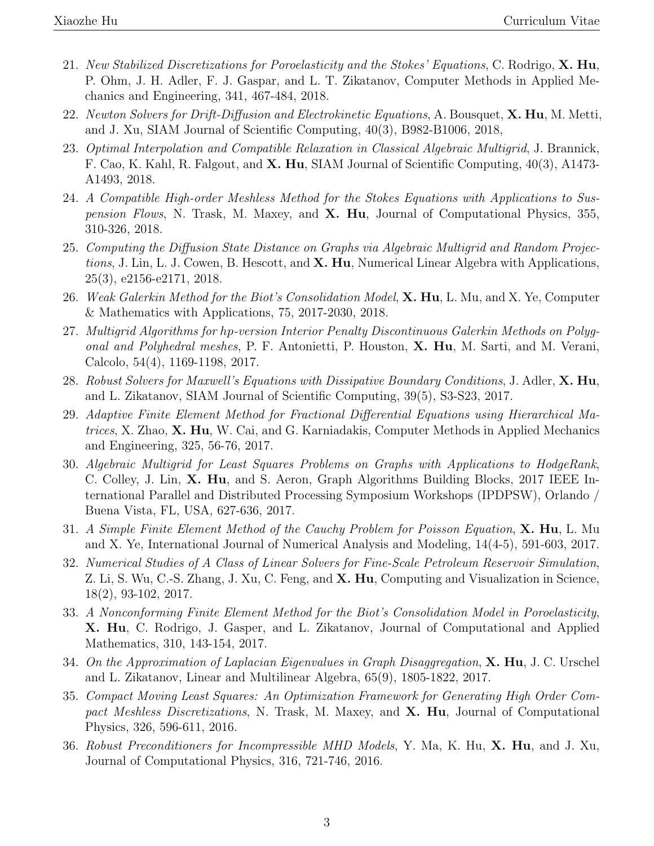- 21. New Stabilized Discretizations for Poroelasticity and the Stokes' Equations, C. Rodrigo, X. Hu, P. Ohm, J. H. Adler, F. J. Gaspar, and L. T. Zikatanov, Computer Methods in Applied Mechanics and Engineering, 341, 467-484, 2018.
- 22. Newton Solvers for Drift-Diffusion and Electrokinetic Equations, A. Bousquet, X. Hu, M. Metti, and J. Xu, SIAM Journal of Scientific Computing, 40(3), B982-B1006, 2018,
- 23. Optimal Interpolation and Compatible Relaxation in Classical Algebraic Multigrid, J. Brannick, F. Cao, K. Kahl, R. Falgout, and X. Hu, SIAM Journal of Scientific Computing, 40(3), A1473- A1493, 2018.
- 24. A Compatible High-order Meshless Method for the Stokes Equations with Applications to Sus*pension Flows*, N. Trask, M. Maxey, and  $X$ . Hu, Journal of Computational Physics, 355, 310-326, 2018.
- 25. Computing the Diffusion State Distance on Graphs via Algebraic Multigrid and Random Projections, J. Lin, L. J. Cowen, B. Hescott, and X. Hu, Numerical Linear Algebra with Applications, 25(3), e2156-e2171, 2018.
- 26. Weak Galerkin Method for the Biot's Consolidation Model, **X. Hu,** L. Mu, and X. Ye, Computer & Mathematics with Applications, 75, 2017-2030, 2018.
- 27. Multigrid Algorithms for hp-version Interior Penalty Discontinuous Galerkin Methods on Polygonal and Polyhedral meshes, P. F. Antonietti, P. Houston, X. Hu, M. Sarti, and M. Verani, Calcolo, 54(4), 1169-1198, 2017.
- 28. Robust Solvers for Maxwell's Equations with Dissipative Boundary Conditions, J. Adler, X. Hu, and L. Zikatanov, SIAM Journal of Scientific Computing, 39(5), S3-S23, 2017.
- 29. Adaptive Finite Element Method for Fractional Differential Equations using Hierarchical Matrices, X. Zhao, X. Hu, W. Cai, and G. Karniadakis, Computer Methods in Applied Mechanics and Engineering, 325, 56-76, 2017.
- 30. Algebraic Multigrid for Least Squares Problems on Graphs with Applications to HodgeRank, C. Colley, J. Lin, X. Hu, and S. Aeron, Graph Algorithms Building Blocks, 2017 IEEE International Parallel and Distributed Processing Symposium Workshops (IPDPSW), Orlando / Buena Vista, FL, USA, 627-636, 2017.
- 31. A Simple Finite Element Method of the Cauchy Problem for Poisson Equation, **X. Hu**, L. Mu and X. Ye, International Journal of Numerical Analysis and Modeling, 14(4-5), 591-603, 2017.
- 32. Numerical Studies of A Class of Linear Solvers for Fine-Scale Petroleum Reservoir Simulation, Z. Li, S. Wu, C.-S. Zhang, J. Xu, C. Feng, and X. Hu, Computing and Visualization in Science, 18(2), 93-102, 2017.
- 33. A Nonconforming Finite Element Method for the Biot's Consolidation Model in Poroelasticity, X. Hu, C. Rodrigo, J. Gasper, and L. Zikatanov, Journal of Computational and Applied Mathematics, 310, 143-154, 2017.
- 34. On the Approximation of Laplacian Eigenvalues in Graph Disaggregation,  $X$ . Hu, J. C. Urschel and L. Zikatanov, Linear and Multilinear Algebra, 65(9), 1805-1822, 2017.
- 35. Compact Moving Least Squares: An Optimization Framework for Generating High Order Compact Meshless Discretizations, N. Trask, M. Maxey, and X. Hu, Journal of Computational Physics, 326, 596-611, 2016.
- 36. Robust Preconditioners for Incompressible MHD Models, Y. Ma, K. Hu, X. Hu, and J. Xu, Journal of Computational Physics, 316, 721-746, 2016.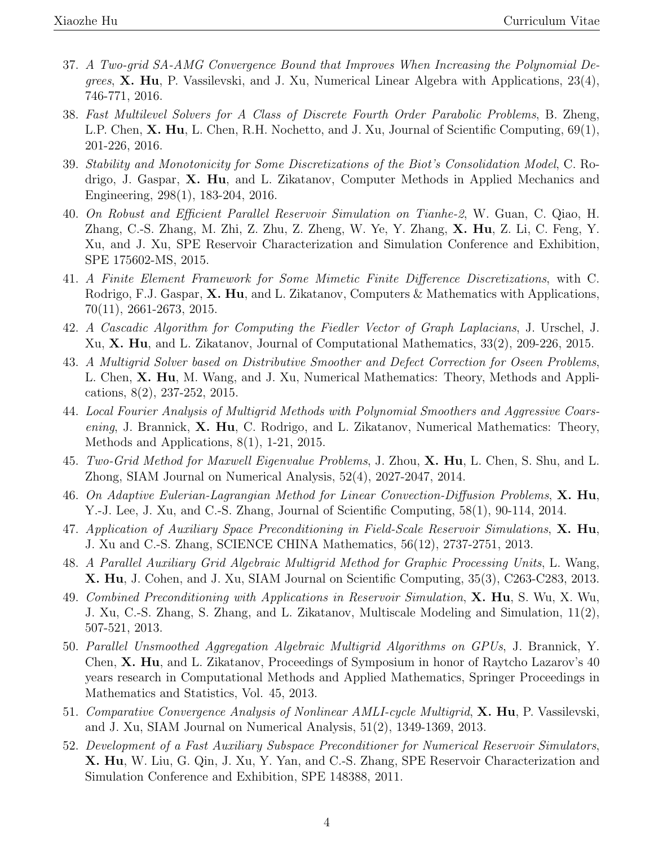- 37. A Two-grid SA-AMG Convergence Bound that Improves When Increasing the Polynomial De*grees*,  $X$ . Hu, P. Vassilevski, and J. Xu, Numerical Linear Algebra with Applications, 23(4), 746-771, 2016.
- 38. Fast Multilevel Solvers for A Class of Discrete Fourth Order Parabolic Problems, B. Zheng, L.P. Chen, **X. Hu**, L. Chen, R.H. Nochetto, and J. Xu, Journal of Scientific Computing, 69(1), 201-226, 2016.
- 39. Stability and Monotonicity for Some Discretizations of the Biot's Consolidation Model, C. Rodrigo, J. Gaspar, X. Hu, and L. Zikatanov, Computer Methods in Applied Mechanics and Engineering, 298(1), 183-204, 2016.
- 40. On Robust and Efficient Parallel Reservoir Simulation on Tianhe-2, W. Guan, C. Qiao, H. Zhang, C.-S. Zhang, M. Zhi, Z. Zhu, Z. Zheng, W. Ye, Y. Zhang, X. Hu, Z. Li, C. Feng, Y. Xu, and J. Xu, SPE Reservoir Characterization and Simulation Conference and Exhibition, SPE 175602-MS, 2015.
- 41. A Finite Element Framework for Some Mimetic Finite Difference Discretizations, with C. Rodrigo, F.J. Gaspar,  $X$ . Hu, and L. Zikatanov, Computers & Mathematics with Applications, 70(11), 2661-2673, 2015.
- 42. A Cascadic Algorithm for Computing the Fiedler Vector of Graph Laplacians, J. Urschel, J. Xu, X. Hu, and L. Zikatanov, Journal of Computational Mathematics, 33(2), 209-226, 2015.
- 43. A Multigrid Solver based on Distributive Smoother and Defect Correction for Oseen Problems, L. Chen, X. Hu, M. Wang, and J. Xu, Numerical Mathematics: Theory, Methods and Applications, 8(2), 237-252, 2015.
- 44. Local Fourier Analysis of Multigrid Methods with Polynomial Smoothers and Aggressive Coarsening, J. Brannick,  $X$ . Hu, C. Rodrigo, and L. Zikatanov, Numerical Mathematics: Theory, Methods and Applications, 8(1), 1-21, 2015.
- 45. Two-Grid Method for Maxwell Eigenvalue Problems, J. Zhou, X. Hu, L. Chen, S. Shu, and L. Zhong, SIAM Journal on Numerical Analysis, 52(4), 2027-2047, 2014.
- 46. On Adaptive Eulerian-Lagrangian Method for Linear Convection-Diffusion Problems, X. Hu, Y.-J. Lee, J. Xu, and C.-S. Zhang, Journal of Scientific Computing, 58(1), 90-114, 2014.
- 47. Application of Auxiliary Space Preconditioning in Field-Scale Reservoir Simulations,  $X$ . Hu, J. Xu and C.-S. Zhang, SCIENCE CHINA Mathematics, 56(12), 2737-2751, 2013.
- 48. A Parallel Auxiliary Grid Algebraic Multigrid Method for Graphic Processing Units, L. Wang, X. Hu, J. Cohen, and J. Xu, SIAM Journal on Scientific Computing, 35(3), C263-C283, 2013.
- 49. Combined Preconditioning with Applications in Reservoir Simulation, **X. Hu**, S. Wu, X. Wu, J. Xu, C.-S. Zhang, S. Zhang, and L. Zikatanov, Multiscale Modeling and Simulation, 11(2), 507-521, 2013.
- 50. Parallel Unsmoothed Aggregation Algebraic Multigrid Algorithms on GPUs, J. Brannick, Y. Chen, X. Hu, and L. Zikatanov, Proceedings of Symposium in honor of Raytcho Lazarov's 40 years research in Computational Methods and Applied Mathematics, Springer Proceedings in Mathematics and Statistics, Vol. 45, 2013.
- 51. Comparative Convergence Analysis of Nonlinear AMLI-cycle Multigrid, **X. Hu**, P. Vassilevski, and J. Xu, SIAM Journal on Numerical Analysis, 51(2), 1349-1369, 2013.
- 52. Development of a Fast Auxiliary Subspace Preconditioner for Numerical Reservoir Simulators, X. Hu, W. Liu, G. Qin, J. Xu, Y. Yan, and C.-S. Zhang, SPE Reservoir Characterization and Simulation Conference and Exhibition, SPE 148388, 2011.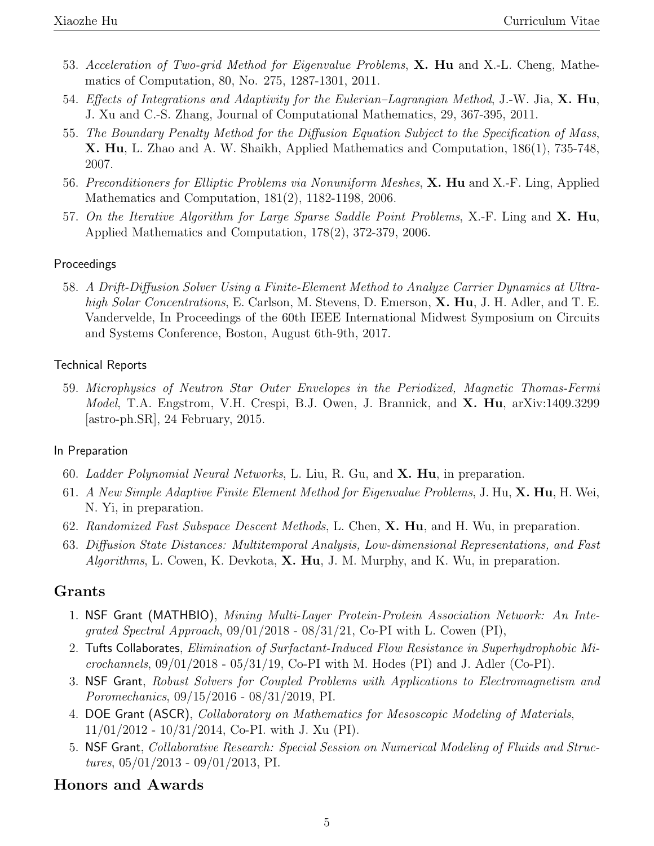- 53. Acceleration of Two-grid Method for Eigenvalue Problems, X. Hu and X.-L. Cheng, Mathematics of Computation, 80, No. 275, 1287-1301, 2011.
- 54. Effects of Integrations and Adaptivity for the Eulerian–Lagrangian Method, J.-W. Jia, X. Hu, J. Xu and C.-S. Zhang, Journal of Computational Mathematics, 29, 367-395, 2011.
- 55. The Boundary Penalty Method for the Diffusion Equation Subject to the Specification of Mass, X. Hu, L. Zhao and A. W. Shaikh, Applied Mathematics and Computation, 186(1), 735-748, 2007.
- 56. Preconditioners for Elliptic Problems via Nonuniform Meshes, X. Hu and X.-F. Ling, Applied Mathematics and Computation, 181(2), 1182-1198, 2006.
- 57. On the Iterative Algorithm for Large Sparse Saddle Point Problems, X.-F. Ling and  $X$ . Hu, Applied Mathematics and Computation, 178(2), 372-379, 2006.

#### Proceedings

58. A Drift-Diffusion Solver Using a Finite-Element Method to Analyze Carrier Dynamics at Ultrahigh Solar Concentrations, E. Carlson, M. Stevens, D. Emerson, X. Hu, J. H. Adler, and T. E. Vandervelde, In Proceedings of the 60th IEEE International Midwest Symposium on Circuits and Systems Conference, Boston, August 6th-9th, 2017.

#### Technical Reports

59. Microphysics of Neutron Star Outer Envelopes in the Periodized, Magnetic Thomas-Fermi Model, T.A. Engstrom, V.H. Crespi, B.J. Owen, J. Brannick, and X. Hu, arXiv:1409.3299 [astro-ph.SR], 24 February, 2015.

#### In Preparation

- 60. Ladder Polynomial Neural Networks, L. Liu, R. Gu, and  $X$ . Hu, in preparation.
- 61. A New Simple Adaptive Finite Element Method for Eigenvalue Problems, J. Hu, X. Hu, H. Wei, N. Yi, in preparation.
- 62. Randomized Fast Subspace Descent Methods, L. Chen, X. Hu, and H. Wu, in preparation.
- 63. Diffusion State Distances: Multitemporal Analysis, Low-dimensional Representations, and Fast *Algorithms*, L. Cowen, K. Devkota, **X. Hu**, J. M. Murphy, and K. Wu, in preparation.

#### Grants

- 1. NSF Grant (MATHBIO), Mining Multi-Layer Protein-Protein Association Network: An Inteqrated Spectral Approach,  $09/01/2018 - 08/31/21$ , Co-PI with L. Cowen (PI),
- 2. Tufts Collaborates, Elimination of Surfactant-Induced Flow Resistance in Superhydrophobic Microchannels,  $09/01/2018$  -  $05/31/19$ , Co-PI with M. Hodes (PI) and J. Adler (Co-PI).
- 3. NSF Grant, Robust Solvers for Coupled Problems with Applications to Electromagnetism and Poromechanics, 09/15/2016 - 08/31/2019, PI.
- 4. DOE Grant (ASCR), Collaboratory on Mathematics for Mesoscopic Modeling of Materials, 11/01/2012 - 10/31/2014, Co-PI. with J. Xu (PI).
- 5. NSF Grant, Collaborative Research: Special Session on Numerical Modeling of Fluids and Structures, 05/01/2013 - 09/01/2013, PI.

### Honors and Awards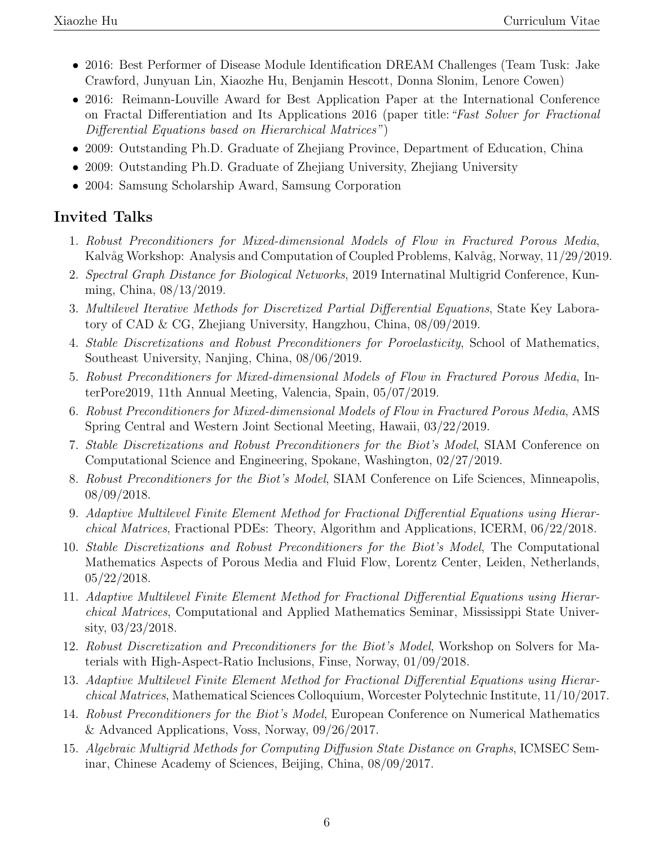- 2016: Best Performer of Disease Module Identification DREAM Challenges (Team Tusk: Jake Crawford, Junyuan Lin, Xiaozhe Hu, Benjamin Hescott, Donna Slonim, Lenore Cowen)
- 2016: Reimann-Louville Award for Best Application Paper at the International Conference on Fractal Differentiation and Its Applications 2016 (paper title: "Fast Solver for Fractional Differential Equations based on Hierarchical Matrices")
- 2009: Outstanding Ph.D. Graduate of Zhejiang Province, Department of Education, China
- 2009: Outstanding Ph.D. Graduate of Zhejiang University, Zhejiang University
- 2004: Samsung Scholarship Award, Samsung Corporation

## Invited Talks

- 1. Robust Preconditioners for Mixed-dimensional Models of Flow in Fractured Porous Media, Kalvåg Workshop: Analysis and Computation of Coupled Problems, Kalvåg, Norway, 11/29/2019.
- 2. Spectral Graph Distance for Biological Networks, 2019 Internatinal Multigrid Conference, Kunming, China, 08/13/2019.
- 3. Multilevel Iterative Methods for Discretized Partial Differential Equations, State Key Laboratory of CAD & CG, Zhejiang University, Hangzhou, China, 08/09/2019.
- 4. Stable Discretizations and Robust Preconditioners for Poroelasticity, School of Mathematics, Southeast University, Nanjing, China, 08/06/2019.
- 5. Robust Preconditioners for Mixed-dimensional Models of Flow in Fractured Porous Media, InterPore2019, 11th Annual Meeting, Valencia, Spain, 05/07/2019.
- 6. Robust Preconditioners for Mixed-dimensional Models of Flow in Fractured Porous Media, AMS Spring Central and Western Joint Sectional Meeting, Hawaii, 03/22/2019.
- 7. Stable Discretizations and Robust Preconditioners for the Biot's Model, SIAM Conference on Computational Science and Engineering, Spokane, Washington, 02/27/2019.
- 8. Robust Preconditioners for the Biot's Model, SIAM Conference on Life Sciences, Minneapolis, 08/09/2018.
- 9. Adaptive Multilevel Finite Element Method for Fractional Differential Equations using Hierarchical Matrices, Fractional PDEs: Theory, Algorithm and Applications, ICERM, 06/22/2018.
- 10. Stable Discretizations and Robust Preconditioners for the Biot's Model, The Computational Mathematics Aspects of Porous Media and Fluid Flow, Lorentz Center, Leiden, Netherlands,  $05/22/2018.$
- 11. Adaptive Multilevel Finite Element Method for Fractional Differential Equations using Hierarchical Matrices, Computational and Applied Mathematics Seminar, Mississippi State University, 03/23/2018.
- 12. Robust Discretization and Preconditioners for the Biot's Model, Workshop on Solvers for Materials with High-Aspect-Ratio Inclusions, Finse, Norway, 01/09/2018.
- 13. Adaptive Multilevel Finite Element Method for Fractional Differential Equations using Hierarchical Matrices, Mathematical Sciences Colloquium, Worcester Polytechnic Institute, 11/10/2017.
- 14. Robust Preconditioners for the Biot's Model, European Conference on Numerical Mathematics & Advanced Applications, Voss, Norway, 09/26/2017.
- 15. Algebraic Multigrid Methods for Computing Diffusion State Distance on Graphs, ICMSEC Seminar, Chinese Academy of Sciences, Beijing, China, 08/09/2017.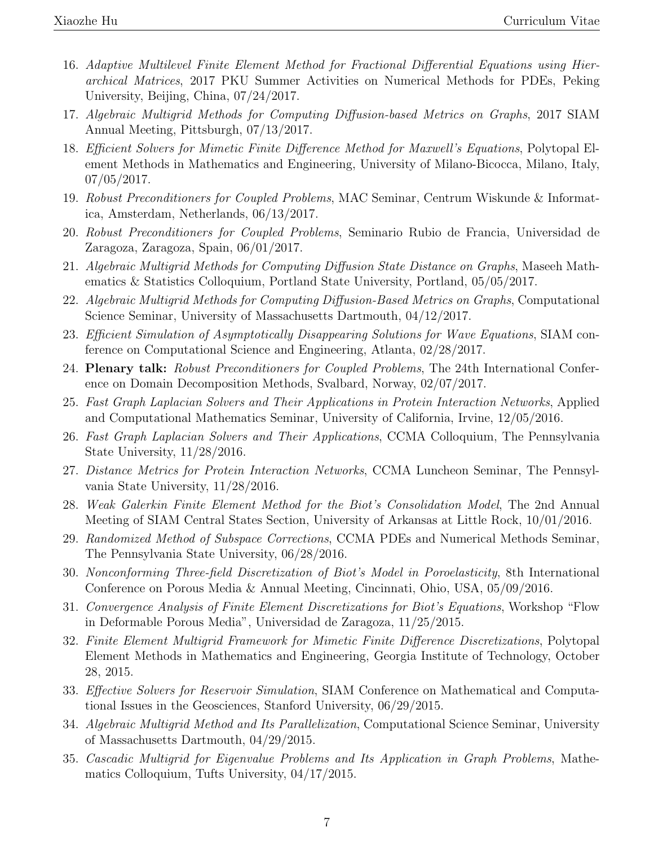- 16. Adaptive Multilevel Finite Element Method for Fractional Differential Equations using Hierarchical Matrices, 2017 PKU Summer Activities on Numerical Methods for PDEs, Peking University, Beijing, China, 07/24/2017.
- 17. Algebraic Multigrid Methods for Computing Diffusion-based Metrics on Graphs, 2017 SIAM Annual Meeting, Pittsburgh, 07/13/2017.
- 18. Efficient Solvers for Mimetic Finite Difference Method for Maxwell's Equations, Polytopal Element Methods in Mathematics and Engineering, University of Milano-Bicocca, Milano, Italy, 07/05/2017.
- 19. Robust Preconditioners for Coupled Problems, MAC Seminar, Centrum Wiskunde & Informatica, Amsterdam, Netherlands, 06/13/2017.
- 20. Robust Preconditioners for Coupled Problems, Seminario Rubio de Francia, Universidad de Zaragoza, Zaragoza, Spain, 06/01/2017.
- 21. Algebraic Multigrid Methods for Computing Diffusion State Distance on Graphs, Maseeh Mathematics & Statistics Colloquium, Portland State University, Portland, 05/05/2017.
- 22. Algebraic Multigrid Methods for Computing Diffusion-Based Metrics on Graphs, Computational Science Seminar, University of Massachusetts Dartmouth, 04/12/2017.
- 23. Efficient Simulation of Asymptotically Disappearing Solutions for Wave Equations, SIAM conference on Computational Science and Engineering, Atlanta, 02/28/2017.
- 24. Plenary talk: Robust Preconditioners for Coupled Problems, The 24th International Conference on Domain Decomposition Methods, Svalbard, Norway, 02/07/2017.
- 25. Fast Graph Laplacian Solvers and Their Applications in Protein Interaction Networks, Applied and Computational Mathematics Seminar, University of California, Irvine, 12/05/2016.
- 26. Fast Graph Laplacian Solvers and Their Applications, CCMA Colloquium, The Pennsylvania State University, 11/28/2016.
- 27. Distance Metrics for Protein Interaction Networks, CCMA Luncheon Seminar, The Pennsylvania State University, 11/28/2016.
- 28. Weak Galerkin Finite Element Method for the Biot's Consolidation Model, The 2nd Annual Meeting of SIAM Central States Section, University of Arkansas at Little Rock, 10/01/2016.
- 29. Randomized Method of Subspace Corrections, CCMA PDEs and Numerical Methods Seminar, The Pennsylvania State University, 06/28/2016.
- 30. Nonconforming Three-field Discretization of Biot's Model in Poroelasticity, 8th International Conference on Porous Media & Annual Meeting, Cincinnati, Ohio, USA, 05/09/2016.
- 31. Convergence Analysis of Finite Element Discretizations for Biot's Equations, Workshop "Flow in Deformable Porous Media", Universidad de Zaragoza, 11/25/2015.
- 32. Finite Element Multigrid Framework for Mimetic Finite Difference Discretizations, Polytopal Element Methods in Mathematics and Engineering, Georgia Institute of Technology, October 28, 2015.
- 33. Effective Solvers for Reservoir Simulation, SIAM Conference on Mathematical and Computational Issues in the Geosciences, Stanford University, 06/29/2015.
- 34. Algebraic Multigrid Method and Its Parallelization, Computational Science Seminar, University of Massachusetts Dartmouth, 04/29/2015.
- 35. Cascadic Multigrid for Eigenvalue Problems and Its Application in Graph Problems, Mathematics Colloquium, Tufts University, 04/17/2015.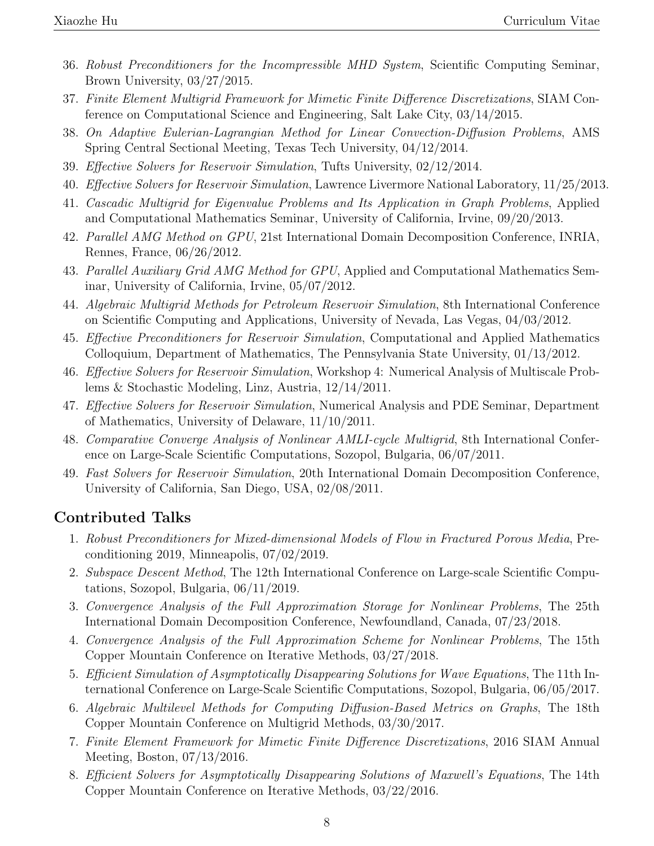- 36. Robust Preconditioners for the Incompressible MHD System, Scientific Computing Seminar, Brown University, 03/27/2015.
- 37. Finite Element Multigrid Framework for Mimetic Finite Difference Discretizations, SIAM Conference on Computational Science and Engineering, Salt Lake City, 03/14/2015.
- 38. On Adaptive Eulerian-Lagrangian Method for Linear Convection-Diffusion Problems, AMS Spring Central Sectional Meeting, Texas Tech University, 04/12/2014.
- 39. Effective Solvers for Reservoir Simulation, Tufts University, 02/12/2014.
- 40. Effective Solvers for Reservoir Simulation, Lawrence Livermore National Laboratory, 11/25/2013.
- 41. Cascadic Multigrid for Eigenvalue Problems and Its Application in Graph Problems, Applied and Computational Mathematics Seminar, University of California, Irvine, 09/20/2013.
- 42. Parallel AMG Method on GPU, 21st International Domain Decomposition Conference, INRIA, Rennes, France, 06/26/2012.
- 43. Parallel Auxiliary Grid AMG Method for GPU, Applied and Computational Mathematics Seminar, University of California, Irvine, 05/07/2012.
- 44. Algebraic Multigrid Methods for Petroleum Reservoir Simulation, 8th International Conference on Scientific Computing and Applications, University of Nevada, Las Vegas, 04/03/2012.
- 45. Effective Preconditioners for Reservoir Simulation, Computational and Applied Mathematics Colloquium, Department of Mathematics, The Pennsylvania State University, 01/13/2012.
- 46. Effective Solvers for Reservoir Simulation, Workshop 4: Numerical Analysis of Multiscale Problems & Stochastic Modeling, Linz, Austria, 12/14/2011.
- 47. Effective Solvers for Reservoir Simulation, Numerical Analysis and PDE Seminar, Department of Mathematics, University of Delaware, 11/10/2011.
- 48. Comparative Converge Analysis of Nonlinear AMLI-cycle Multigrid, 8th International Conference on Large-Scale Scientific Computations, Sozopol, Bulgaria, 06/07/2011.
- 49. Fast Solvers for Reservoir Simulation, 20th International Domain Decomposition Conference, University of California, San Diego, USA, 02/08/2011.

### Contributed Talks

- 1. Robust Preconditioners for Mixed-dimensional Models of Flow in Fractured Porous Media, Preconditioning 2019, Minneapolis, 07/02/2019.
- 2. Subspace Descent Method, The 12th International Conference on Large-scale Scientific Computations, Sozopol, Bulgaria, 06/11/2019.
- 3. Convergence Analysis of the Full Approximation Storage for Nonlinear Problems, The 25th International Domain Decomposition Conference, Newfoundland, Canada, 07/23/2018.
- 4. Convergence Analysis of the Full Approximation Scheme for Nonlinear Problems, The 15th Copper Mountain Conference on Iterative Methods, 03/27/2018.
- 5. Efficient Simulation of Asymptotically Disappearing Solutions for Wave Equations, The 11th International Conference on Large-Scale Scientific Computations, Sozopol, Bulgaria, 06/05/2017.
- 6. Algebraic Multilevel Methods for Computing Diffusion-Based Metrics on Graphs, The 18th Copper Mountain Conference on Multigrid Methods, 03/30/2017.
- 7. Finite Element Framework for Mimetic Finite Difference Discretizations, 2016 SIAM Annual Meeting, Boston, 07/13/2016.
- 8. Efficient Solvers for Asymptotically Disappearing Solutions of Maxwell's Equations, The 14th Copper Mountain Conference on Iterative Methods, 03/22/2016.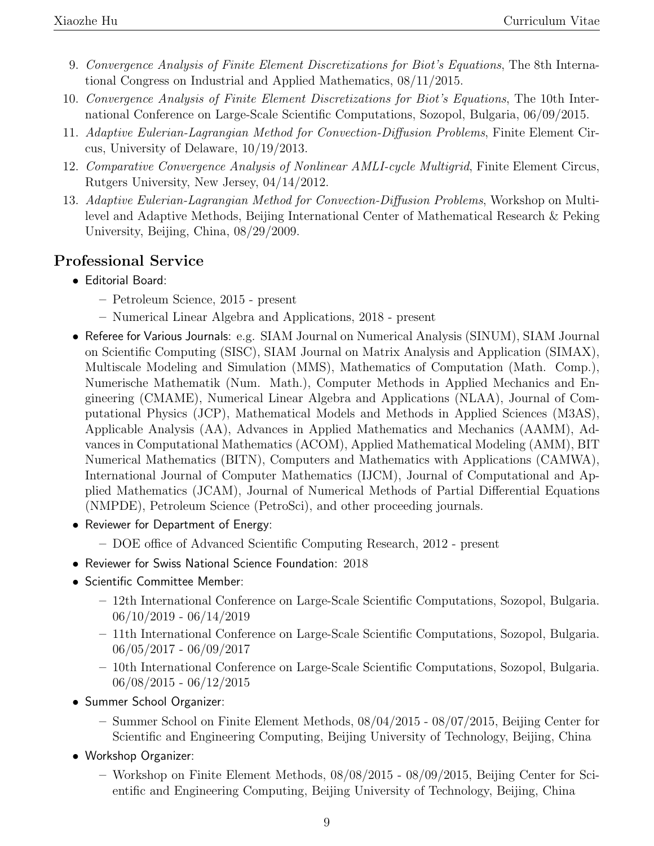- 9. Convergence Analysis of Finite Element Discretizations for Biot's Equations, The 8th International Congress on Industrial and Applied Mathematics, 08/11/2015.
- 10. Convergence Analysis of Finite Element Discretizations for Biot's Equations, The 10th International Conference on Large-Scale Scientific Computations, Sozopol, Bulgaria, 06/09/2015.
- 11. Adaptive Eulerian-Lagrangian Method for Convection-Diffusion Problems, Finite Element Circus, University of Delaware, 10/19/2013.
- 12. Comparative Convergence Analysis of Nonlinear AMLI-cycle Multigrid, Finite Element Circus, Rutgers University, New Jersey, 04/14/2012.
- 13. Adaptive Eulerian-Lagrangian Method for Convection-Diffusion Problems, Workshop on Multilevel and Adaptive Methods, Beijing International Center of Mathematical Research & Peking University, Beijing, China, 08/29/2009.

## Professional Service

- Editorial Board:
	- Petroleum Science, 2015 present
	- Numerical Linear Algebra and Applications, 2018 present
- Referee for Various Journals: e.g. SIAM Journal on Numerical Analysis (SINUM), SIAM Journal on Scientific Computing (SISC), SIAM Journal on Matrix Analysis and Application (SIMAX), Multiscale Modeling and Simulation (MMS), Mathematics of Computation (Math. Comp.), Numerische Mathematik (Num. Math.), Computer Methods in Applied Mechanics and Engineering (CMAME), Numerical Linear Algebra and Applications (NLAA), Journal of Computational Physics (JCP), Mathematical Models and Methods in Applied Sciences (M3AS), Applicable Analysis (AA), Advances in Applied Mathematics and Mechanics (AAMM), Advances in Computational Mathematics (ACOM), Applied Mathematical Modeling (AMM), BIT Numerical Mathematics (BITN), Computers and Mathematics with Applications (CAMWA), International Journal of Computer Mathematics (IJCM), Journal of Computational and Applied Mathematics (JCAM), Journal of Numerical Methods of Partial Differential Equations (NMPDE), Petroleum Science (PetroSci), and other proceeding journals.
- Reviewer for Department of Energy:
	- DOE office of Advanced Scientific Computing Research, 2012 present
- Reviewer for Swiss National Science Foundation: 2018
- Scientific Committee Member:
	- 12th International Conference on Large-Scale Scientific Computations, Sozopol, Bulgaria. 06/10/2019 - 06/14/2019
	- 11th International Conference on Large-Scale Scientific Computations, Sozopol, Bulgaria. 06/05/2017 - 06/09/2017
	- 10th International Conference on Large-Scale Scientific Computations, Sozopol, Bulgaria. 06/08/2015 - 06/12/2015
- Summer School Organizer:
	- Summer School on Finite Element Methods, 08/04/2015 08/07/2015, Beijing Center for Scientific and Engineering Computing, Beijing University of Technology, Beijing, China
- Workshop Organizer:
	- Workshop on Finite Element Methods, 08/08/2015 08/09/2015, Beijing Center for Scientific and Engineering Computing, Beijing University of Technology, Beijing, China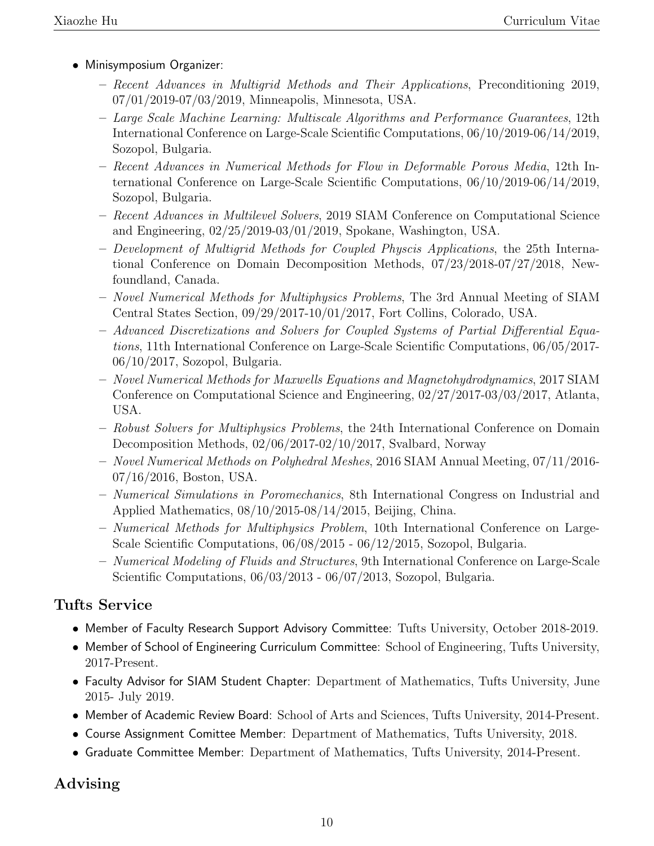- Minisymposium Organizer:
	- Recent Advances in Multigrid Methods and Their Applications, Preconditioning 2019, 07/01/2019-07/03/2019, Minneapolis, Minnesota, USA.
	- Large Scale Machine Learning: Multiscale Algorithms and Performance Guarantees, 12th International Conference on Large-Scale Scientific Computations, 06/10/2019-06/14/2019, Sozopol, Bulgaria.
	- Recent Advances in Numerical Methods for Flow in Deformable Porous Media, 12th International Conference on Large-Scale Scientific Computations, 06/10/2019-06/14/2019, Sozopol, Bulgaria.
	- Recent Advances in Multilevel Solvers, 2019 SIAM Conference on Computational Science and Engineering, 02/25/2019-03/01/2019, Spokane, Washington, USA.
	- Development of Multigrid Methods for Coupled Physcis Applications, the 25th International Conference on Domain Decomposition Methods, 07/23/2018-07/27/2018, Newfoundland, Canada.
	- Novel Numerical Methods for Multiphysics Problems, The 3rd Annual Meeting of SIAM Central States Section, 09/29/2017-10/01/2017, Fort Collins, Colorado, USA.
	- Advanced Discretizations and Solvers for Coupled Systems of Partial Differential Equations, 11th International Conference on Large-Scale Scientific Computations, 06/05/2017- 06/10/2017, Sozopol, Bulgaria.
	- Novel Numerical Methods for Maxwells Equations and Magnetohydrodynamics, 2017 SIAM Conference on Computational Science and Engineering, 02/27/2017-03/03/2017, Atlanta, USA.
	- Robust Solvers for Multiphysics Problems, the 24th International Conference on Domain Decomposition Methods, 02/06/2017-02/10/2017, Svalbard, Norway
	- Novel Numerical Methods on Polyhedral Meshes, 2016 SIAM Annual Meeting, 07/11/2016- 07/16/2016, Boston, USA.
	- Numerical Simulations in Poromechanics, 8th International Congress on Industrial and Applied Mathematics, 08/10/2015-08/14/2015, Beijing, China.
	- Numerical Methods for Multiphysics Problem, 10th International Conference on Large-Scale Scientific Computations, 06/08/2015 - 06/12/2015, Sozopol, Bulgaria.
	- Numerical Modeling of Fluids and Structures, 9th International Conference on Large-Scale Scientific Computations, 06/03/2013 - 06/07/2013, Sozopol, Bulgaria.

## Tufts Service

- Member of Faculty Research Support Advisory Committee: Tufts University, October 2018-2019.
- Member of School of Engineering Curriculum Committee: School of Engineering, Tufts University, 2017-Present.
- Faculty Advisor for SIAM Student Chapter: Department of Mathematics, Tufts University, June 2015- July 2019.
- Member of Academic Review Board: School of Arts and Sciences, Tufts University, 2014-Present.
- Course Assignment Comittee Member: Department of Mathematics, Tufts University, 2018.
- Graduate Committee Member: Department of Mathematics, Tufts University, 2014-Present.

## Advising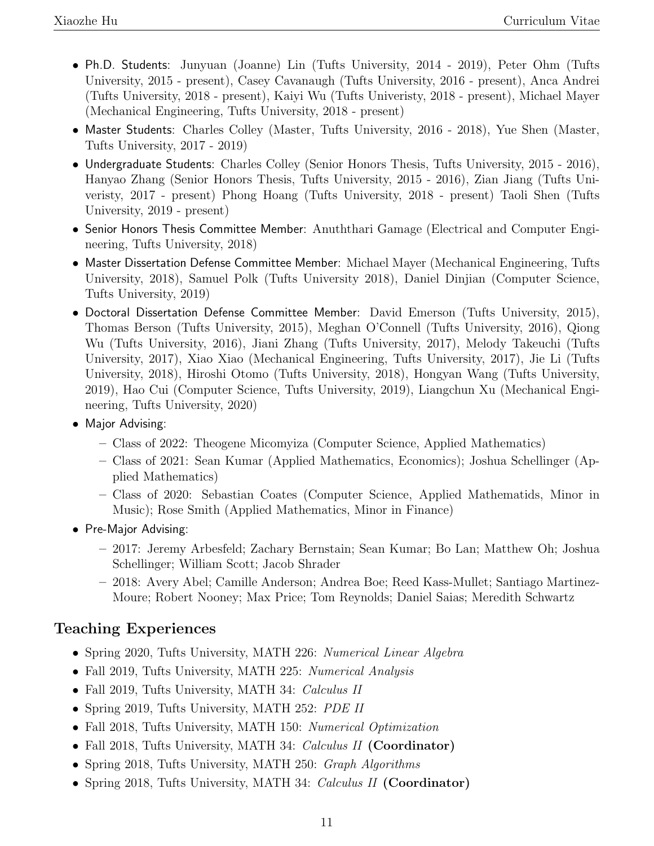- Ph.D. Students: Junyuan (Joanne) Lin (Tufts University, 2014 2019), Peter Ohm (Tufts University, 2015 - present), Casey Cavanaugh (Tufts University, 2016 - present), Anca Andrei (Tufts University, 2018 - present), Kaiyi Wu (Tufts Univeristy, 2018 - present), Michael Mayer (Mechanical Engineering, Tufts University, 2018 - present)
- Master Students: Charles Colley (Master, Tufts University, 2016 2018), Yue Shen (Master, Tufts University, 2017 - 2019)
- Undergraduate Students: Charles Colley (Senior Honors Thesis, Tufts University, 2015 2016), Hanyao Zhang (Senior Honors Thesis, Tufts University, 2015 - 2016), Zian Jiang (Tufts Univeristy, 2017 - present) Phong Hoang (Tufts University, 2018 - present) Taoli Shen (Tufts University, 2019 - present)
- Senior Honors Thesis Committee Member: Anuththari Gamage (Electrical and Computer Engineering, Tufts University, 2018)
- Master Dissertation Defense Committee Member: Michael Mayer (Mechanical Engineering, Tufts University, 2018), Samuel Polk (Tufts University 2018), Daniel Dinjian (Computer Science, Tufts University, 2019)
- Doctoral Dissertation Defense Committee Member: David Emerson (Tufts University, 2015), Thomas Berson (Tufts University, 2015), Meghan O'Connell (Tufts University, 2016), Qiong Wu (Tufts University, 2016), Jiani Zhang (Tufts University, 2017), Melody Takeuchi (Tufts University, 2017), Xiao Xiao (Mechanical Engineering, Tufts University, 2017), Jie Li (Tufts University, 2018), Hiroshi Otomo (Tufts University, 2018), Hongyan Wang (Tufts University, 2019), Hao Cui (Computer Science, Tufts University, 2019), Liangchun Xu (Mechanical Engineering, Tufts University, 2020)
- Major Advising:
	- Class of 2022: Theogene Micomyiza (Computer Science, Applied Mathematics)
	- Class of 2021: Sean Kumar (Applied Mathematics, Economics); Joshua Schellinger (Applied Mathematics)
	- Class of 2020: Sebastian Coates (Computer Science, Applied Mathematids, Minor in Music); Rose Smith (Applied Mathematics, Minor in Finance)
- Pre-Major Advising:
	- 2017: Jeremy Arbesfeld; Zachary Bernstain; Sean Kumar; Bo Lan; Matthew Oh; Joshua Schellinger; William Scott; Jacob Shrader
	- 2018: Avery Abel; Camille Anderson; Andrea Boe; Reed Kass-Mullet; Santiago Martinez-Moure; Robert Nooney; Max Price; Tom Reynolds; Daniel Saias; Meredith Schwartz

## Teaching Experiences

- Spring 2020, Tufts University, MATH 226: Numerical Linear Algebra
- Fall 2019, Tufts University, MATH 225: Numerical Analysis
- Fall 2019, Tufts University, MATH 34: Calculus II
- Spring 2019, Tufts University, MATH 252: PDE II
- Fall 2018, Tufts University, MATH 150: Numerical Optimization
- Fall 2018, Tufts University, MATH 34: Calculus II (Coordinator)
- Spring 2018, Tufts University, MATH 250: *Graph Algorithms*
- Spring 2018, Tufts University, MATH 34: Calculus II (Coordinator)